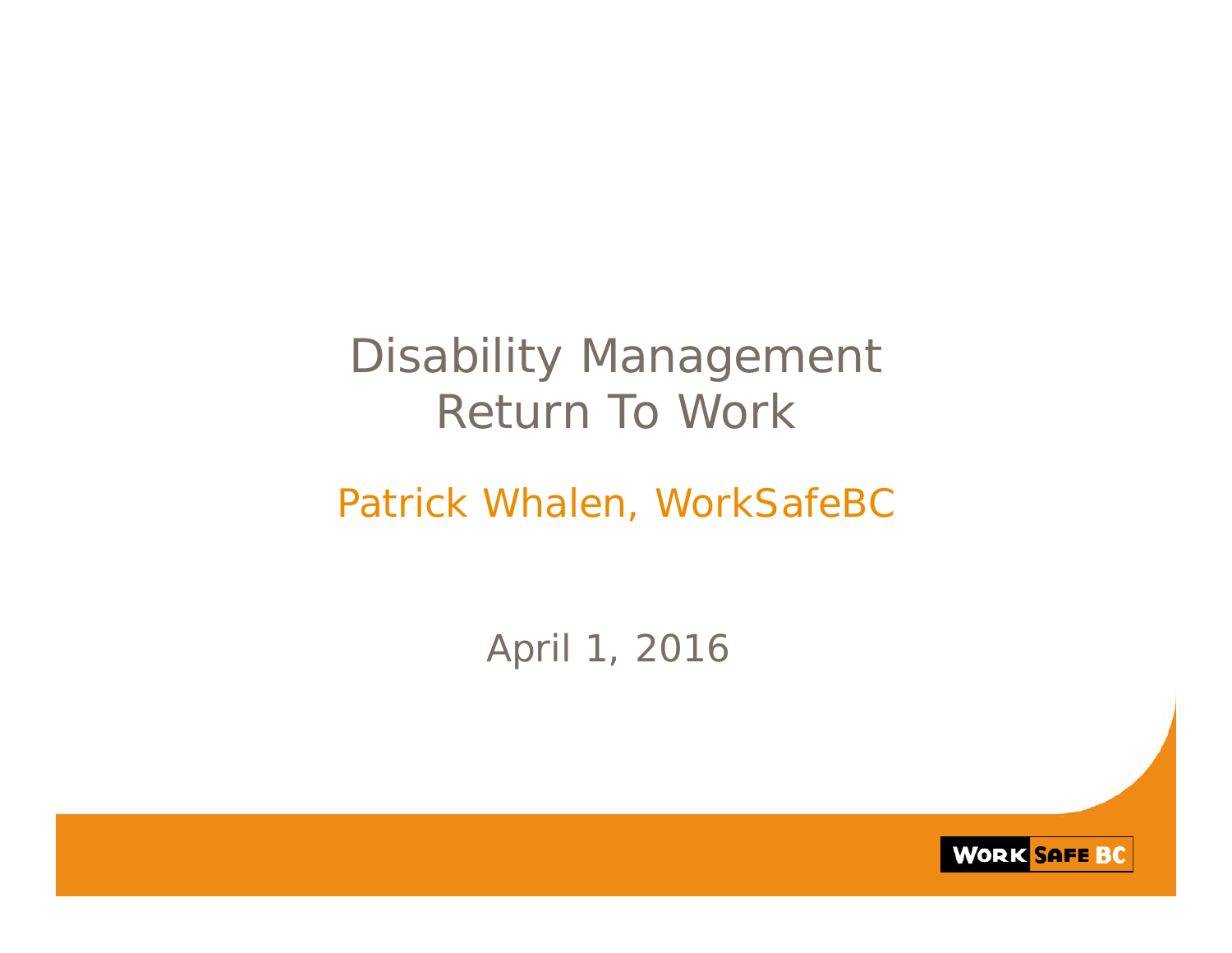## Disability Management Return To Work

#### Patrick Whalen, WorkSafeBC

### April 1, 2016

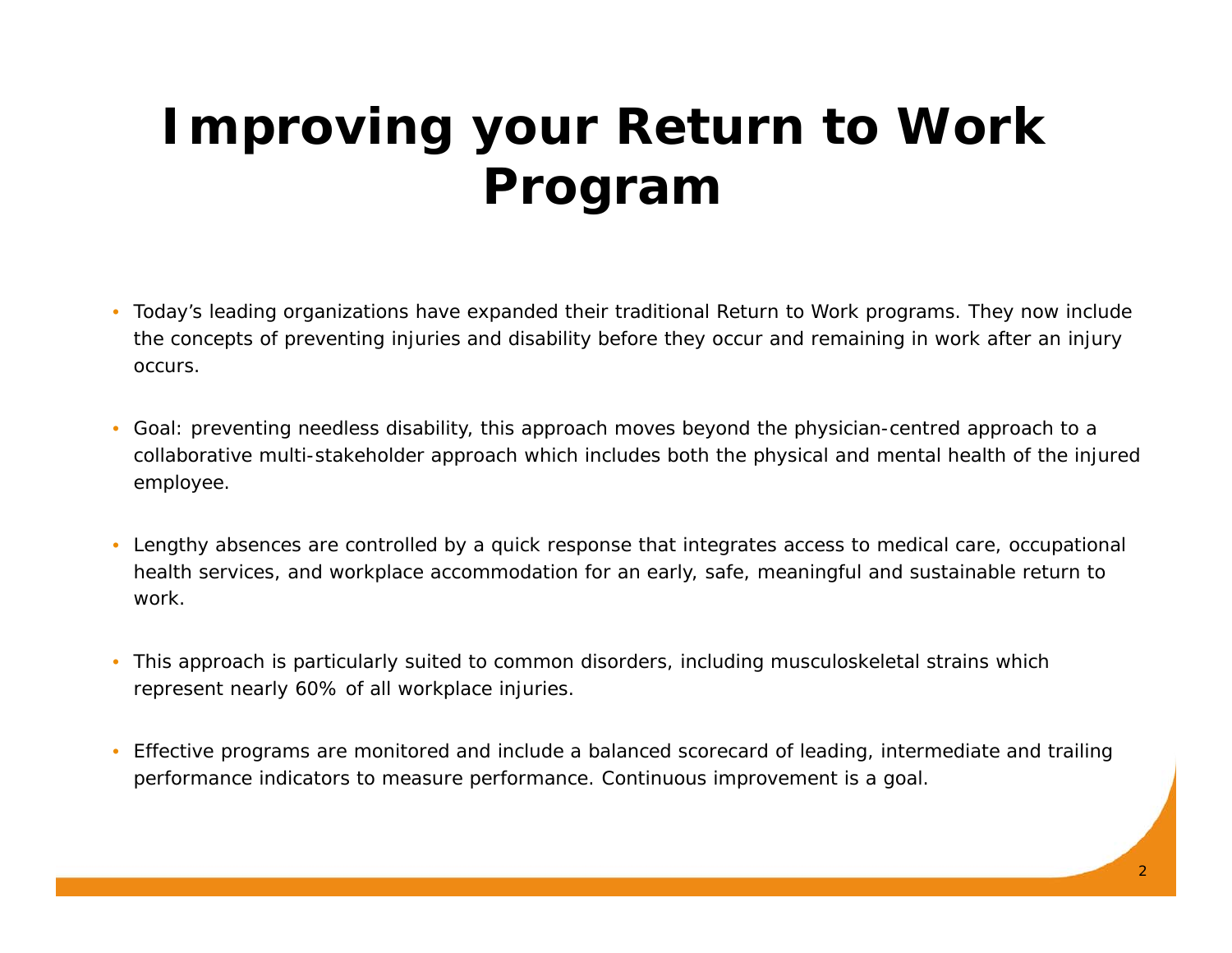# **Improving your Return to Work Program**

- Today's leading organizations have expanded their traditional Return to Work programs. They now include the concepts of preventing injuries and disability before they occur and remaining in work after an injury occurs.
- Goal: preventing needless disability, this approach moves beyond the physician-centred approach to a collaborative multi-stakeholder approach which includes both the physical and mental health of the injured employee.
- Lengthy absences are controlled by a quick response that integrates access to medical care, occupational health services, and workplace accommodation for an early, safe, meaningful and sustainable return to work.
- This approach is particularly suited to common disorders, including musculoskeletal strains which represent nearly 60% of all workplace injuries.
- Effective programs are monitored and include a balanced scorecard of leading, intermediate and trailing performance indicators to measure performance. Continuous improvement is a goal.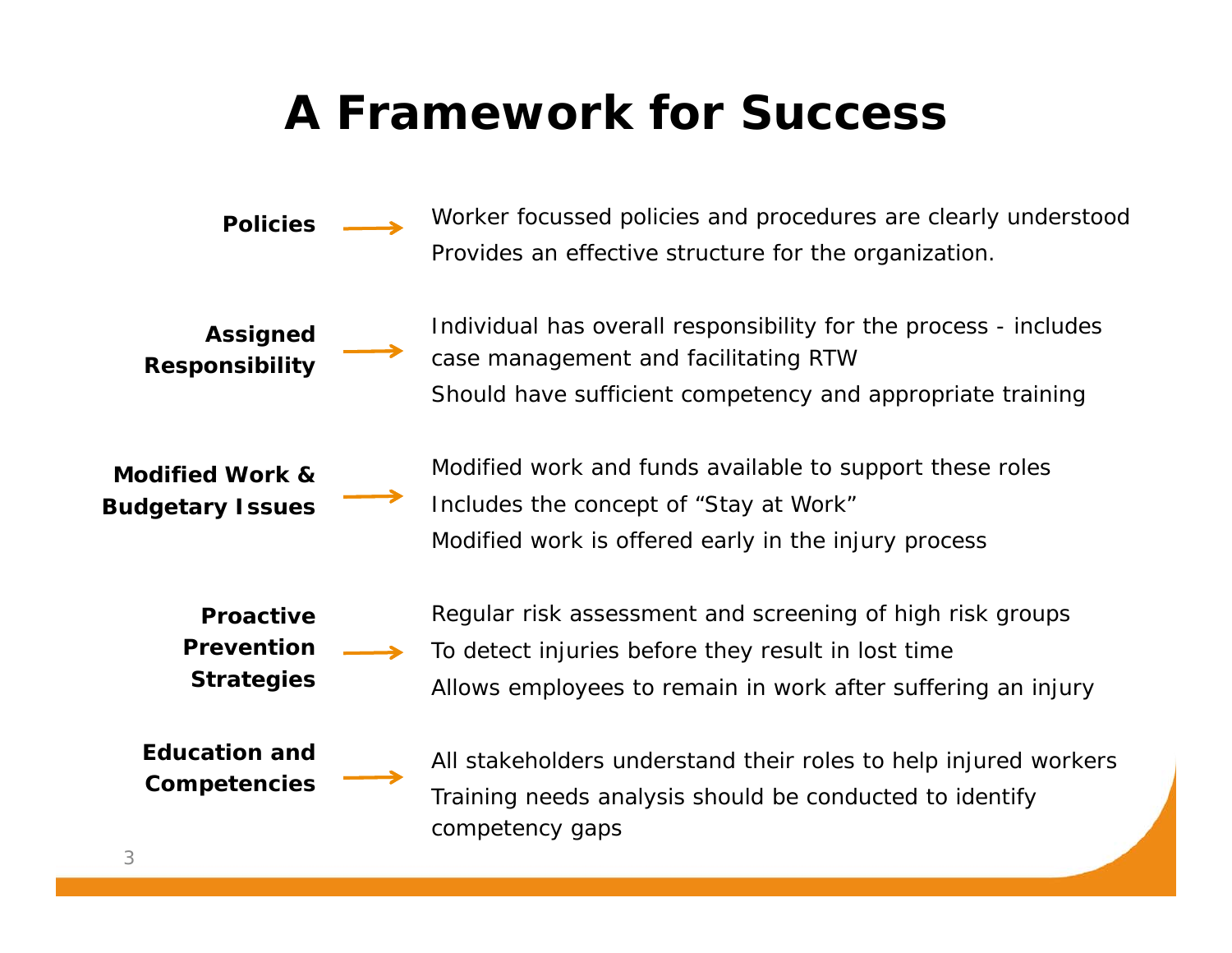### **A Framework for Success**